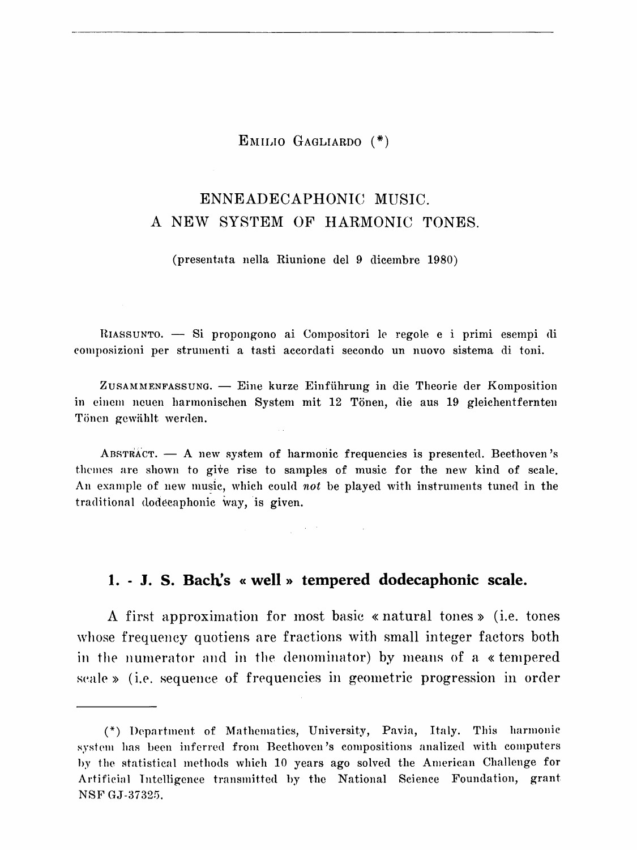EMILIO GAGLIARDO (\*)

# ENNEADECAPHONIC MUSIC. A NEW SYSTEM OF HARMONIC TONES.

(presentata nella Riunione del 9 dicembre 1980)

HIASSUNTO. - Si propongono ai Compositori le regole e i primi esempi di eon1posizioni per strumenti a tasti accordati secondo un nuovo sistema di toni.

ZusAMMENFASSUNG. - Eine kurze Einfiihrung in die Theorie der Komposition in eincm neucn harmonischen System mit 12 Tonen, die aus 19 gleichentfernten Tönen gewählt werden.

ABSTRACT.  $-$  A new system of harmonic frequencies is presented. Beethoven's themes are shown to give rise to samples of music for the new kind of scale. An example of new music, which could not be played with instruments tuned in the traditional dodecaphonic way, is given.

**1. - J. S. Bach's «well» tempered dodecaphonic scale.** 

A first approximation for most basic « natural tones >> (i.e. tones whose frequency quotiens are fractions with small integer factors both in the numerator and in the denominator) by means of a «tempered scale » (i.e. sequence of frequencies in geometric progression in order

<sup>(\*)</sup> Depnrtment of Mathematics, University, Pavin, Italy. This harmonic system has been inferred from Beethoven's compositions analized with computers hy the statistical methods which 10 years ago solved the American Challenge for Artificial Intelligence transmitted by the National Science Foundation, grant NSF GJ-37325.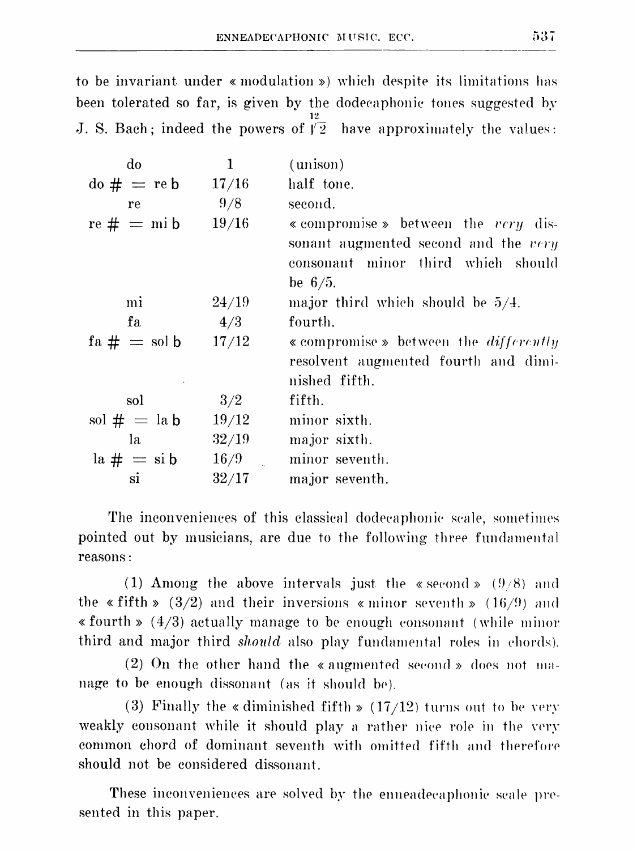to be invariant under « modulation ») which despite its limitations has been tolerated so far, is given by the dodecaphonic tones suggested by J. S. Bach; indeed the powers of  $\tilde{\sqrt{2}}$  have approximately the values:

| do                                                     | 1     | (unison)                                                                                                                         |
|--------------------------------------------------------|-------|----------------------------------------------------------------------------------------------------------------------------------|
| $\mathrm{d} \mathbf{0} \# = \mathrm{re} \, \mathbf{b}$ | 17/16 | half tone.                                                                                                                       |
| re                                                     | 9/8   | second.                                                                                                                          |
| $re \# = mi b$                                         | 19/16 | « compromise » between the very dis-<br>sonant augmented second and the very<br>consonant minor third which should<br>be $6/5$ . |
| mi                                                     | 24/19 | major third which should be $5/4$ .                                                                                              |
| fа                                                     | 4/3   | fourth.                                                                                                                          |
| $fa \# = sol b$                                        | 17/12 | « compromise » between the <i>differently</i><br>resolvent augmented fourth and dimi-<br>nished fifth.                           |
| sol                                                    | 3/2   | fifth.                                                                                                                           |
| sol $# =$ la b                                         | 19/12 | minor sixth.                                                                                                                     |
| la                                                     | 32/19 | major sixth.                                                                                                                     |
| $la # = \sin b$                                        | 16/9  | minor seventh.                                                                                                                   |
| si                                                     | 32/17 | major seventh.                                                                                                                   |

The inconveniences of this classical dodecaphonic scale, sometimes pointed out by musicians, are due to the following three fundamental reasons:

(1) Among the above intervals just the «second»  $(9/8)$  and the « fifth » (3/2) and their inversions « minor seventh » (16/9) and  $\ast$  fourth  $\ast$  (4/3) actually manage to be enough consonant (while minor third and major third *should* also play fundamental roles in chords).

 $(2)$  On the other hand the « augmented second » does not manage to be enough dissonant (as it should be).

(3) Finally the « diminished fifth »  $(17/12)$  turns out to be very weakly consonant while it should play a rather nice role in the very common chord of dominant seventh with omitted fifth and therefore should not be considered dissonant

These inconveniences are solved by the enneadecaphonic scale presented in this paper.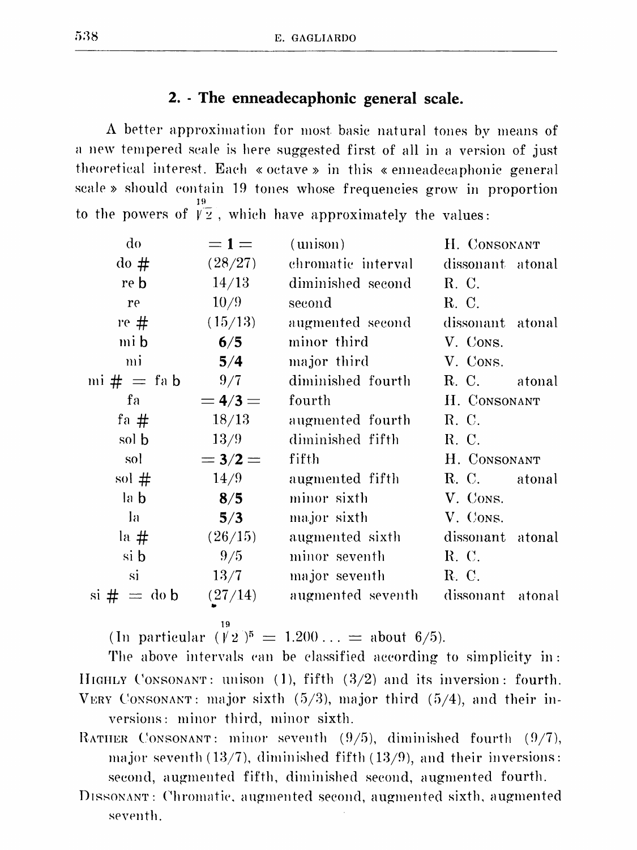## 2. - The enneadecaphonic general scale.

A better approximation for most basic natural tones by means of a new tempered scale is here suggested first of all in a version of just theoretical interest. Each « octave » in this « enneadecaphonic general scale » should contain 19 tones whose frequencies grow in proportion to the powers of  $\sqrt{2}$ , which have approximately the values:

| do                                  | $=1=$     | (unison)             | H. CONSONANT     |
|-------------------------------------|-----------|----------------------|------------------|
| $\frac{d}{dt}$                      | (28/27)   | chromatic interval – | dissonant atonal |
| re b                                | 14/13     | diminished second    | R. C.            |
| re                                  | 10/9      | second               | R. C.            |
| re #                                | (15/13)   | augmented second     | dissonant atonal |
| mi b                                | 6/5       | minor third          | V. Cons.         |
| mi                                  | 5/4       | major third          | V. CONS.         |
| mi $\# =$ fa b                      | 9/7       | diminished fourth    | R. C. atonal     |
| fa                                  | $= 4/3 =$ | fourth               | H. CONSONANT     |
| fa #                                | 18/13     | augmented fourth     | R. C.            |
| sol b                               | 13/9      | diminished fifth     | R. C.            |
| sol                                 | $= 3/2 =$ | fifth                | H. CONSONANT     |
| sol $#$                             | 14/9      | augmented fifth      | R. C. atonal     |
| la b                                | 8/5       | minor sixth          | V. CONS.         |
| la                                  | 5/3       | major sixth          | V. Cons.         |
| la #                                | (26/15)   | augmented sixth      | dissonant atonal |
| si b                                | 9/5       | minor seventh        | R. C.            |
| si                                  | 13/7      | major seventh        | R. C.            |
| $\sin \# = \text{d} \circ \text{b}$ | (27/14)   | augmented seventh    | dissonant atonal |

19

(In particular  $(\sqrt{2})^5 = 1.200... =$  about 6/5).

The above intervals can be classified according to simplicity in: HIGHLY CONSONANT: unison  $(1)$ , fifth  $(3/2)$  and its inversion: fourth. VERY CONSONANT: major sixth  $(5/3)$ , major third  $(5/4)$ , and their inversions: minor third, minor sixth.

- RATHER CONSONANT: minor seventh  $(9/5)$ , diminished fourth  $(9/7)$ , major seventh  $(13/7)$ , diminished fifth  $(13/9)$ , and their inversions: second, augmented fifth, diminished second, augmented fourth.
- DISSONANT: Chromatic, augmented second, augmented sixth, augmented seventh.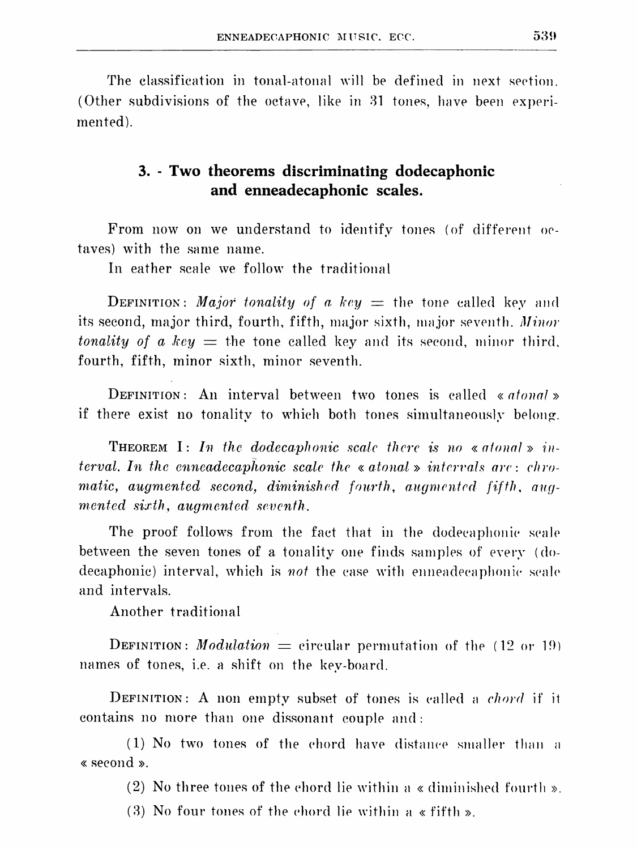The classification in tonal-atonal will be defined in next section. (Other subdivisions of the octave, like in  $31$  tones, have been experimented).

## **3. - Two theorems discriminating dodecaphonic and enneadecaphonic scales.**

From now on we understand to identify tones (of different octaves) with the same name.

In eather scale we follow the traditional

**DEFINITION:** Major tonality of a key  $=$  the tone called key and its second, major third, fourth, fifth, major sixth, major seventh. *Minor tonality of a key*  $=$  the tone called key and its second, minor third, fourth, fifth, minor sixth, minor seventh.

DEFINITION: An interval between two tones is called *«atonal»*  if there exist no tonality to which both tones simultaneously belong.

**THEOREM** I: In the dodecaphonic scale there is no « atomal » in*terval. In the enneadecaphonic scale the « atonal » intervals are: chroratic, augmented second, diminished fourth, augmented fifth, augmented sixth, augmented seventh.* 

The proof follows from the fact that in the dodecaphonic scale between the seven tones of a tonality one finds samples of every (dodecaphonic) interval, which is *not* the case with enneadecaphonic scale and intervals.

Another traditional

**DEFINITION:** *Modulation*  $=$  circular permutation of the (12 or 19) names of tones, i.e. a shift on the key-board.

DEFINITION: A non empty subset of tones is called a *chord* if it contains no more than one dissonant couple and:

 $(1)$  No two tones of the chord have distance smaller than a « second ».

(2) No three tones of the chord lie within a « diminished fourth ».

(3) No four tones of the chord lie within a «fifth».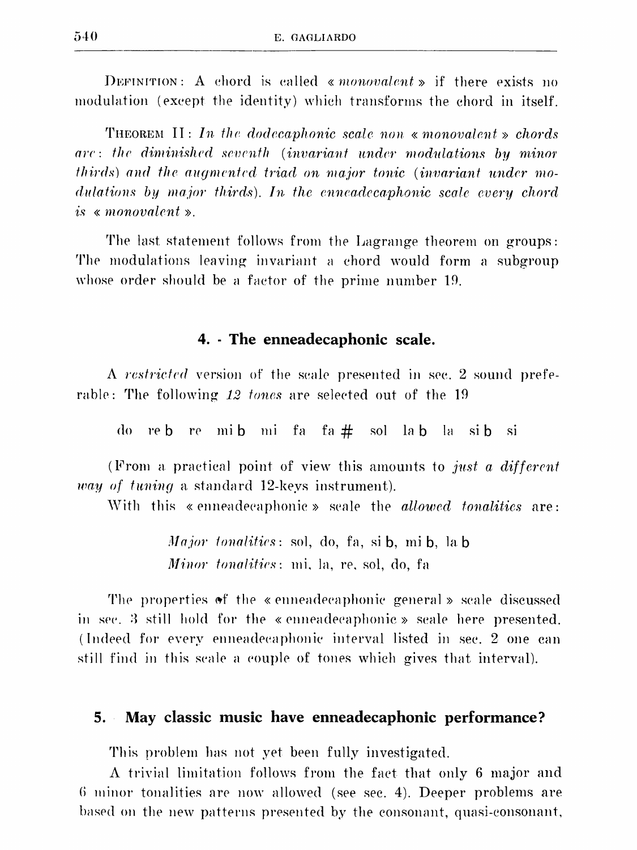DEFINITION: A chord is called «*nonovalent* » if there exists no modulation (except the identity) which transforms the chord in itself.

THEOREM II: In the dodecaphonic scale non « monovalent » chords are: the diminished seventh (invariant under modulations by minor thirds) and the augmented triad on major tonic (invariant under modulations by major thirds). In the enneadecaphonic scale every chord is  $\kappa$  monovalent  $\kappa$ .

The last statement follows from the Lagrange theorem on groups: The modulations leaving invariant a chord would form a subgroup whose order should be a factor of the prime number 19.

## 4. The enneadecaphonic scale.

A restricted version of the seale presented in sec. 2 sound preferable: The following 12 tones are selected out of the 19

do reb re mib mi fa fa # sol lab la sib si

(From a practical point of view this amounts to just a different *way of tuning* a standard 12-keys instrument).

With this «enneadecaphonic» scale the *allowed tonalities* are:

*Major tonalities*: sol, do, fa, si **b**, mi **b**, la **b** *Minor tonalities*: mi, la, re, sol, do, fa

The properties of the «enneadecaphonic general » scale discussed in sec. 3 still hold for the «enneadecaphonic» scale here presented. (Indeed for every enneadecaphonic interval listed in sec. 2 one can still find in this seale a couple of tones which gives that interval).

#### 5. May classic music have enneadecaphonic performance?

This problem has not yet been fully investigated.

A trivial limitation follows from the fact that only 6 major and 6 minor tonalities are now allowed (see sec. 4). Deeper problems are based on the new patterns presented by the consonant, quasi-consonant,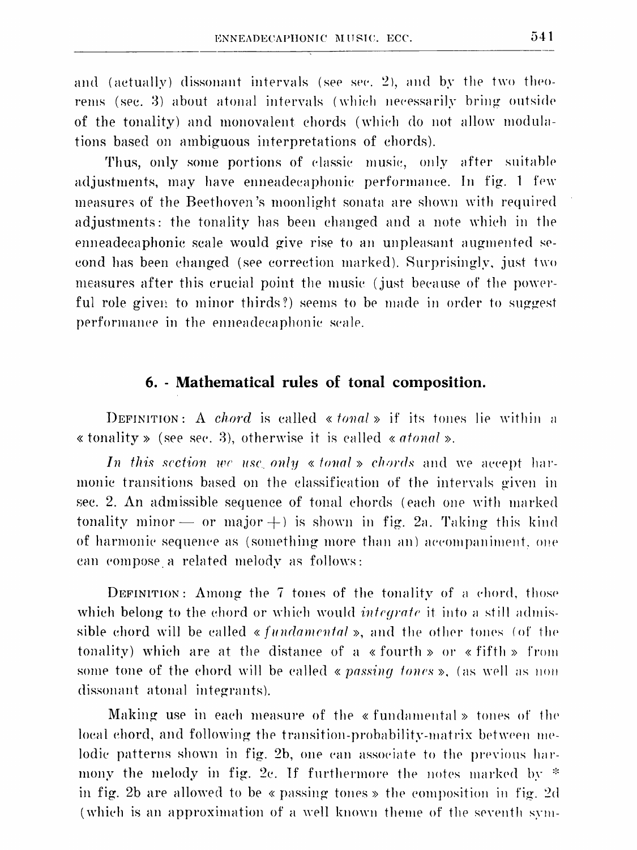and (actually) dissonant intervals (see sec. 2), and by the two theorems (sec. 3) about atonal intervals (which necessarily bring outside of the tonality) and monovalent chords (which do not allow modulations based on ambiguous interpretations of chords).

Thus, only some portions of classic music, only after suitable adjustments, may have enneadecaphonic performance. In fig. 1 few measures of the Beethoven's moonlight sonata are shown with required adjustments: the tonality has been changed and a note which in the enneadecaphonic scale would give rise to an unpleasant augmented seeond has been changed (see correction marked). Surprisingly, just two measures after this crucial point the music (just because of the powerful role given to minor thirds?) seems to be made in order to suggest performance in the enneadecaphonic scale.

## 6. - Mathematical rules of tonal composition.

DEFINITION: A *chord* is called « *tonal* » if its tones lie within a « tonality » (see sec. 3), otherwise it is called « *atonal* ».

In this section we use only  $\ast$  tonal  $\ast$  chords and we accept harmonic transitions based on the classification of the intervals given in sec. 2. An admissible sequence of tonal chords (each one with marked tonality minor  $-$  or major  $+$ ) is shown in fig. 2a. Taking this kind of harmonic sequence as (something more than an) accompaniment, one can compose a related melody as follows:

DEFINITION: Among the 7 tones of the tonality of a chord, those which belong to the chord or which would *integrate* it into a still admissible chord will be called « fundamental », and the other tones (of the tonality) which are at the distance of a «fourth» or «fifth» from some tone of the chord will be called « passing tones », (as well as non dissonant atonal integrants).

Making use in each measure of the «fundamental» tones of the local chord, and following the transition-probability-matrix between melodic patterns shown in fig. 2b, one can associate to the previous harmony the melody in fig. 2c. If furthermore the notes marked by  $*$ in fig. 2b are allowed to be « passing tones » the composition in fig. 2d (which is an approximation of a well known theme of the seventh sym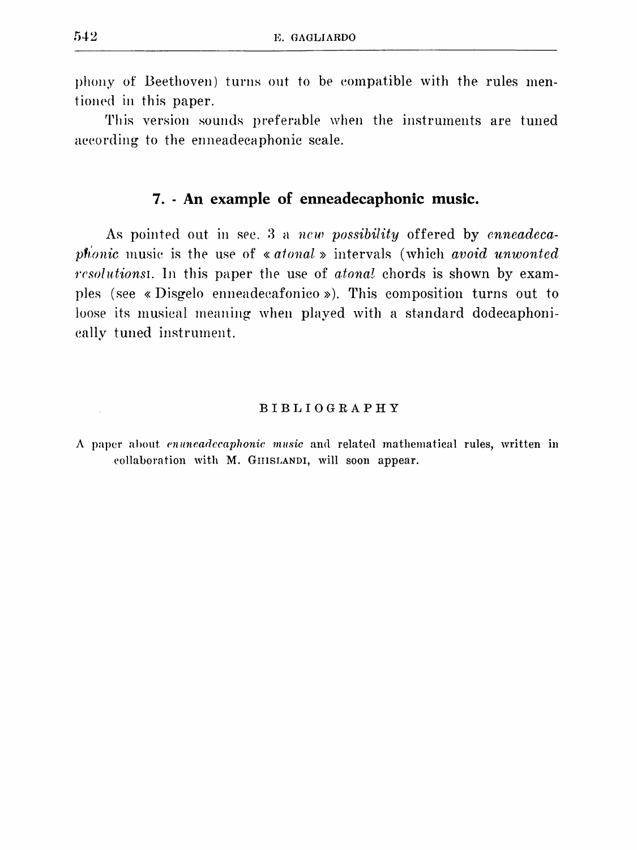phony of Beethoven) turns out to be eompatible with the rules mentioned in this paper.

This version sounds preferable when the instruments are tuned aeeording to the enneadecaphonic scale.

## **7. - An example of enneadecaphonic music.**

As pointed out in sec. 3 a *new possibility* offered by *cnneadecaphonic* music is the use of « atonal » intervals (which *avoid unwonted rcsolntionsi.* In this paper the use of *atonal* chords is shown by examples (see « Disgelo enneadeeafonico » ). This composition turns out to loose its musical meaning when played with a standard dodecaphonieally tuned instrument.

#### BIBLIOGRAPHY

A paper about *enuneadecaphonic music* and related mathematical rules, written in collaboration with M. GHISLANDI, will soon appear.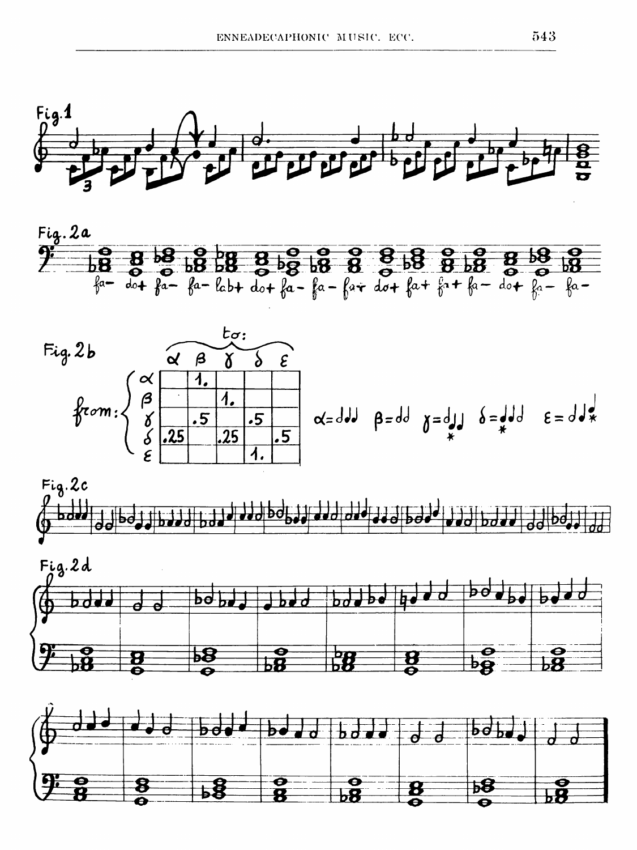









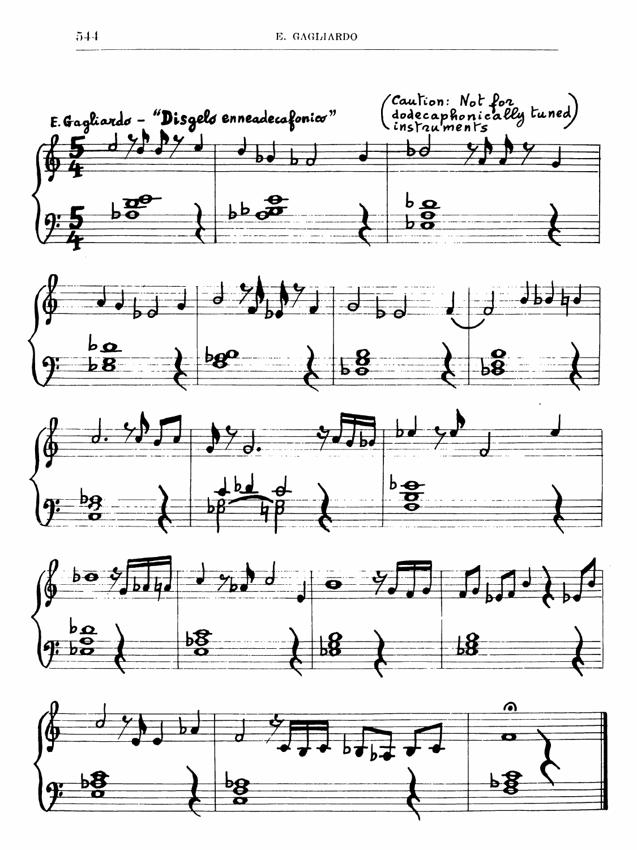

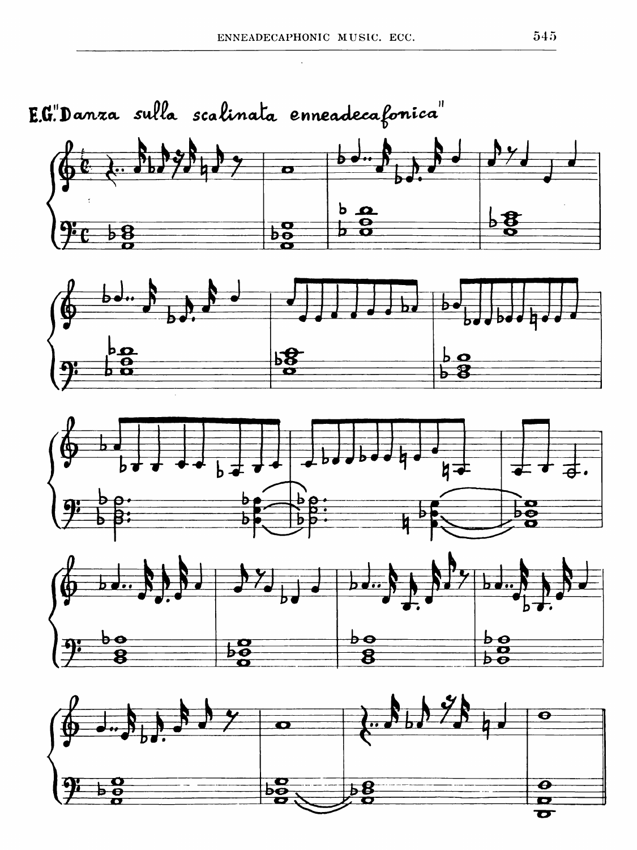